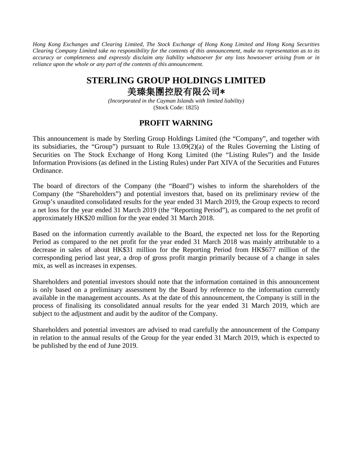*Hong Kong Exchanges and Clearing Limited, The Stock Exchange of Hong Kong Limited and Hong Kong Securities Clearing Company Limited take no responsibility for the contents of this announcement, make no representation as to its accuracy or completeness and expressly disclaim any liability whatsoever for any loss howsoever arising from or in reliance upon the whole or any part of the contents of this announcement.*

## **STERLING GROUP HOLDINGS LIMITED** 美臻集團控股有限公司\*

*(Incorporated in the Cayman Islands with limited liability)* (Stock Code: 1825)

## **PROFIT WARNING**

This announcement is made by Sterling Group Holdings Limited (the "Company", and together with its subsidiaries, the "Group") pursuant to Rule 13.09(2)(a) of the Rules Governing the Listing of Securities on The Stock Exchange of Hong Kong Limited (the "Listing Rules") and the Inside Information Provisions (as defined in the Listing Rules) under Part XIVA of the Securities and Futures Ordinance.

The board of directors of the Company (the "Board") wishes to inform the shareholders of the Company (the "Shareholders") and potential investors that, based on its preliminary review of the Group's unaudited consolidated results for the year ended 31 March 2019, the Group expects to record a net loss for the year ended 31 March 2019 (the "Reporting Period"), as compared to the net profit of approximately HK\$20 million for the year ended 31 March 2018.

Based on the information currently available to the Board, the expected net loss for the Reporting Period as compared to the net profit for the year ended 31 March 2018 was mainly attributable to a decrease in sales of about HK\$31 million for the Reporting Period from HK\$677 million of the corresponding period last year, a drop of gross profit margin primarily because of a change in sales mix, as well as increases in expenses.

Shareholders and potential investors should note that the information contained in this announcement is only based on a preliminary assessment by the Board by reference to the information currently available in the management accounts. As at the date of this announcement, the Company is still in the process of finalising its consolidated annual results for the year ended 31 March 2019, which are subject to the adjustment and audit by the auditor of the Company.

Shareholders and potential investors are advised to read carefully the announcement of the Company in relation to the annual results of the Group for the year ended 31 March 2019, which is expected to be published by the end of June 2019.